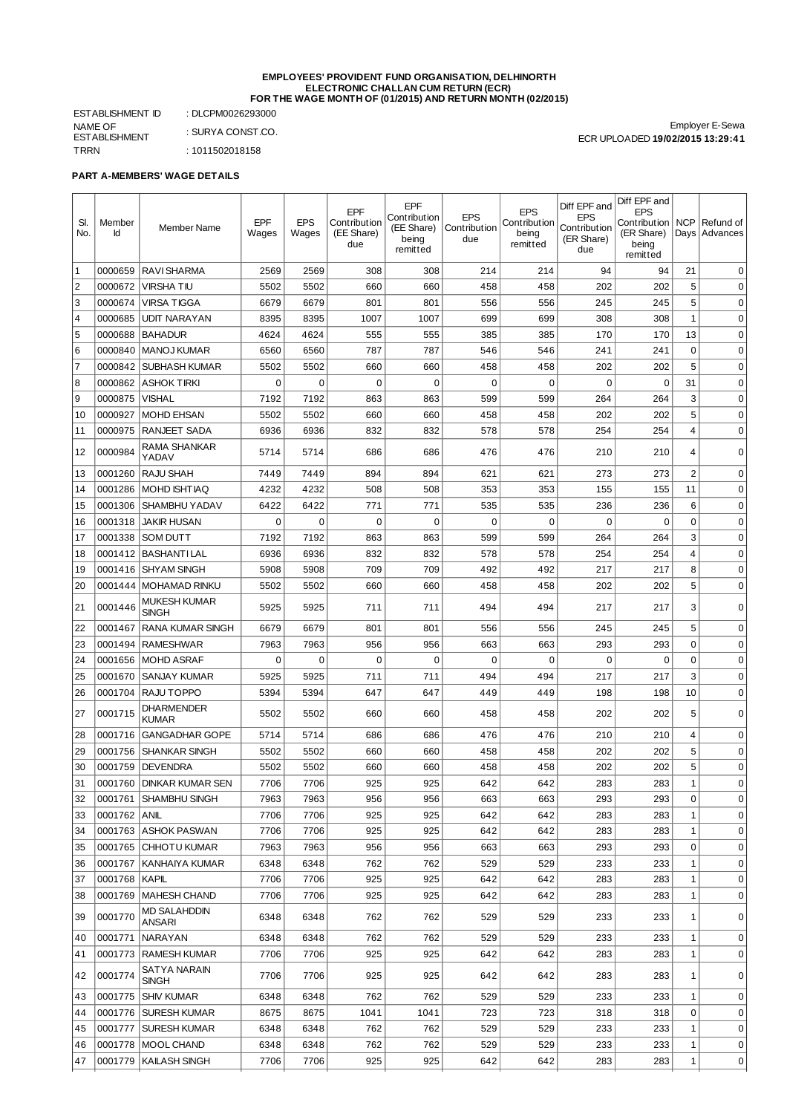#### **EMPLOYEES' PROVIDENT FUND ORGANISATION, DELHINORTH ELECTRONIC CHALLAN CUM RETURN (ECR) FOR THE WAGE MONTH OF (01/2015) AND RETURN MONTH (02/2015)**

ESTABLISHMENT ID : DLCPM0026293000 NAME OF ESTABLISHMENT : SURYA CONST.CO. TRRN : 1011502018158

Employer E-Sewa ECR UPLOADED **19/02/2015 13:29:41**

## **PART A-MEMBERS' WAGE DETAILS**

| SI.<br>No. | Member<br>Id  | Member Name                         | EPF<br>Wages | <b>EPS</b><br>Wages | EPF<br>Contribution<br>(EE Share)<br>due | EPF<br>Contribution<br>(EE Share)<br>being<br>remitted | <b>EPS</b><br>Contribution<br>due | <b>EPS</b><br>Contribution<br>being<br>remitted | Diff EPF and<br><b>EPS</b><br>Contribution<br>(ER Share)<br>due | Diff EPF and<br><b>EPS</b><br>Contribution   NCP<br>(ER Share)<br>being<br>remitted |                | Refund of<br>Days Advances |
|------------|---------------|-------------------------------------|--------------|---------------------|------------------------------------------|--------------------------------------------------------|-----------------------------------|-------------------------------------------------|-----------------------------------------------------------------|-------------------------------------------------------------------------------------|----------------|----------------------------|
| 1          | 0000659       | <b>RAVI SHARMA</b>                  | 2569         | 2569                | 308                                      | 308                                                    | 214                               | 214                                             | 94                                                              | 94                                                                                  | 21             | $\Omega$                   |
| 2          | 0000672       | VIRSHA TIU                          | 5502         | 5502                | 660                                      | 660                                                    | 458                               | 458                                             | 202                                                             | 202                                                                                 | 5              | 0                          |
| 3          | 0000674       | <b>VIRSA TIGGA</b>                  | 6679         | 6679                | 801                                      | 801                                                    | 556                               | 556                                             | 245                                                             | 245                                                                                 | 5              | 0                          |
| $\vert$ 4  | 0000685       | <b>UDIT NARAYAN</b>                 | 8395         | 8395                | 1007                                     | 1007                                                   | 699                               | 699                                             | 308                                                             | 308                                                                                 | $1\,$          | $\mathbf 0$                |
| 5          | 0000688       | <b>BAHADUR</b>                      | 4624         | 4624                | 555                                      | 555                                                    | 385                               | 385                                             | 170                                                             | 170                                                                                 | 13             | $\mathbf 0$                |
| 6          | 0000840       | MANOJ KUMAR                         | 6560         | 6560                | 787                                      | 787                                                    | 546                               | 546                                             | 241                                                             | 241                                                                                 | $\mathbf 0$    | $\mathbf 0$                |
| 7          | 0000842       | <b>SUBHASH KUMAR</b>                | 5502         | 5502                | 660                                      | 660                                                    | 458                               | 458                                             | 202                                                             | 202                                                                                 | 5              | $\mathbf 0$                |
| 8          | 0000862       | ASHOK TIRKI                         | 0            | $\mathbf 0$         | $\mathbf 0$                              | $\mathbf 0$                                            | 0                                 | $\mathbf 0$                                     | 0                                                               | $\mathbf 0$                                                                         | 31             | $\mathbf 0$                |
| 9          | 0000875       | <b>VISHAL</b>                       | 7192         | 7192                | 863                                      | 863                                                    | 599                               | 599                                             | 264                                                             | 264                                                                                 | 3              | $\mathbf 0$                |
| 10         | 0000927       | <b>MOHD EHSAN</b>                   | 5502         | 5502                | 660                                      | 660                                                    | 458                               | 458                                             | 202                                                             | 202                                                                                 | 5              | $\mathbf 0$                |
| 11         | 0000975       | <b>RANJEET SADA</b>                 | 6936         | 6936                | 832                                      | 832                                                    | 578                               | 578                                             | 254                                                             | 254                                                                                 | 4              | $\mathbf 0$                |
|            |               | RAMA SHANKAR                        |              |                     |                                          |                                                        |                                   |                                                 |                                                                 |                                                                                     |                |                            |
| 12         | 0000984       | YADAV                               | 5714         | 5714                | 686                                      | 686                                                    | 476                               | 476                                             | 210                                                             | 210                                                                                 | 4              | $\mathbf 0$                |
| 13         | 0001260       | <b>RAJU SHAH</b>                    | 7449         | 7449                | 894                                      | 894                                                    | 621                               | 621                                             | 273                                                             | 273                                                                                 | $\overline{c}$ | $\mathbf 0$                |
| 14         | 0001286       | <b>MOHD ISHTIAO</b>                 | 4232         | 4232                | 508                                      | 508                                                    | 353                               | 353                                             | 155                                                             | 155                                                                                 | 11             | $\mathbf 0$                |
| 15         | 0001306       | SHAMBHU YADAV                       | 6422         | 6422                | 771                                      | 771                                                    | 535                               | 535                                             | 236                                                             | 236                                                                                 | 6              | $\mathbf 0$                |
| 16         | 0001318       | <b>JAKIR HUSAN</b>                  | 0            | $\mathbf 0$         | $\mathbf 0$                              | 0                                                      | 0                                 | $\mathbf 0$                                     | 0                                                               | 0                                                                                   | $\mathbf 0$    | $\mathbf 0$                |
| 17         | 0001338       | <b>SOM DUTT</b>                     | 7192         | 7192                | 863                                      | 863                                                    | 599                               | 599                                             | 264                                                             | 264                                                                                 | 3              | $\mathbf 0$                |
| 18         | 0001412       | <b>BASHANTILAL</b>                  | 6936         | 6936                | 832                                      | 832                                                    | 578                               | 578                                             | 254                                                             | 254                                                                                 | 4              | $\mathbf 0$                |
| 19         | 0001416       | <b>SHYAM SINGH</b>                  | 5908         | 5908                | 709                                      | 709                                                    | 492                               | 492                                             | 217                                                             | 217                                                                                 | 8              | $\mathbf 0$                |
| 20         | 0001444       | <b>MOHAMAD RINKU</b>                | 5502         | 5502                | 660                                      | 660                                                    | 458                               | 458                                             | 202                                                             | 202                                                                                 | 5              | 0                          |
| 21         | 0001446       | <b>MUKESH KUMAR</b><br><b>SINGH</b> | 5925         | 5925                | 711                                      | 711                                                    | 494                               | 494                                             | 217                                                             | 217                                                                                 | 3              | $\mathbf 0$                |
| 22         | 0001467       | <b>RANA KUMAR SINGH</b>             | 6679         | 6679                | 801                                      | 801                                                    | 556                               | 556                                             | 245                                                             | 245                                                                                 | 5              | 0                          |
| 23         | 0001494       | RAMESHWAR                           | 7963         | 7963                | 956                                      | 956                                                    | 663                               | 663                                             | 293                                                             | 293                                                                                 | 0              | $\mathbf 0$                |
| 24         | 0001656       | <b>MOHD ASRAF</b>                   | 0            | 0                   | 0                                        | $\mathbf 0$                                            | 0                                 | $\mathbf 0$                                     | 0                                                               | $\mathbf 0$                                                                         | 0              | $\mathbf 0$                |
| 25         | 0001670       | <b>SANJAY KUMAR</b>                 | 5925         | 5925                | 711                                      | 711                                                    | 494                               | 494                                             | 217                                                             | 217                                                                                 | 3              | $\mathbf 0$                |
| 26         | 0001704       | <b>RAJUTOPPO</b>                    | 5394         | 5394                | 647                                      | 647                                                    | 449                               | 449                                             | 198                                                             | 198                                                                                 | 10             | $\mathbf 0$                |
| 27         | 0001715       | DHARMENDER<br>KUMAR                 | 5502         | 5502                | 660                                      | 660                                                    | 458                               | 458                                             | 202                                                             | 202                                                                                 | 5              | 0                          |
| 28         | 0001716       | <b>GANGADHAR GOPE</b>               | 5714         | 5714                | 686                                      | 686                                                    | 476                               | 476                                             | 210                                                             | 210                                                                                 | 4              | 0                          |
| 29         | 0001756       | <b>SHANKAR SINGH</b>                | 5502         | 5502                | 660                                      | 660                                                    | 458                               | 458                                             | 202                                                             | 202                                                                                 | 5              | 0                          |
| 30         | 0001759       | DEVENDRA                            | 5502         | 5502                | 660                                      | 660                                                    | 458                               | 458                                             | 202                                                             | 202                                                                                 | 5              | $\mathbf 0$                |
| 31         |               | 0001760 DINKAR KUMAR SEN            | 7706         | 7706                | 925                                      | 925                                                    | 642                               | 642                                             | 283                                                             | 283                                                                                 | $\mathbf{1}$   | $\Omega$                   |
| 32         |               | 0001761   SHAMBHU SINGH             | 7963         | 7963                | 956                                      | 956                                                    | 663                               | 663                                             | 293                                                             | 293                                                                                 | 0              | 0                          |
| 33         | 0001762       | <b>ANIL</b>                         | 7706         | 7706                | 925                                      | 925                                                    | 642                               | 642                                             | 283                                                             | 283                                                                                 | 1              | 0                          |
| 34         | 0001763       | ASHOK PASWAN                        | 7706         | 7706                | 925                                      | 925                                                    | 642                               | 642                                             | 283                                                             | 283                                                                                 | 1              | $\mathbf 0$                |
| 35         | 0001765       | <b>CHHOTU KUMAR</b>                 | 7963         | 7963                | 956                                      | 956                                                    | 663                               | 663                                             | 293                                                             | 293                                                                                 | $\mathbf 0$    | $\mathbf 0$                |
| 36         | 0001767       | KANHAIYA KUMAR                      | 6348         | 6348                | 762                                      | 762                                                    | 529                               | 529                                             | 233                                                             | 233                                                                                 | 1              | 0                          |
| 37         | 0001768 KAPIL |                                     | 7706         | 7706                | 925                                      | 925                                                    | 642                               | 642                                             | 283                                                             | 283                                                                                 | 1              | 0                          |
| 38         | 0001769       | MAHESH CHAND                        | 7706         | 7706                | 925                                      | 925                                                    | 642                               | 642                                             | 283                                                             | 283                                                                                 | 1              | 0                          |
| 39         | 0001770       | <b>MD SALAHDDIN</b><br>ANSARI       | 6348         | 6348                | 762                                      | 762                                                    | 529                               | 529                                             | 233                                                             | 233                                                                                 | 1              | $\mathbf 0$                |
| 40         | 0001771       | NARAYAN                             | 6348         | 6348                | 762                                      | 762                                                    | 529                               | 529                                             | 233                                                             | 233                                                                                 | 1              | 0                          |
| 41         |               | 0001773   RAMESH KUMAR              | 7706         | 7706                | 925                                      | 925                                                    | 642                               | 642                                             | 283                                                             | 283                                                                                 | $\mathbf 1$    | $\mathbf 0$                |
| 42         | 0001774       | SATYA NARAIN<br>SINGH               | 7706         | 7706                | 925                                      | 925                                                    | 642                               | 642                                             | 283                                                             | 283                                                                                 | 1              | 0                          |
| 43         | 0001775       | <b>SHIV KUMAR</b>                   | 6348         | 6348                | 762                                      | 762                                                    | 529                               | 529                                             | 233                                                             | 233                                                                                 | 1              | 0                          |
| 44         | 0001776       | <b>SURESH KUMAR</b>                 | 8675         | 8675                | 1041                                     | 1041                                                   | 723                               | 723                                             | 318                                                             | 318                                                                                 | $\mathbf 0$    | 0                          |
| 45         | 0001777       | <b>SURESH KUMAR</b>                 | 6348         | 6348                | 762                                      | 762                                                    | 529                               | 529                                             | 233                                                             | 233                                                                                 | 1              | 0                          |
| 46         | 0001778       | <b>MOOL CHAND</b>                   | 6348         | 6348                | 762                                      | 762                                                    | 529                               | 529                                             | 233                                                             | 233                                                                                 | 1              | 0                          |
| 47         | 0001779       | KAILASH SINGH                       | 7706         | 7706                | 925                                      | 925                                                    | 642                               | 642                                             | 283                                                             | 283                                                                                 | 1              | 0                          |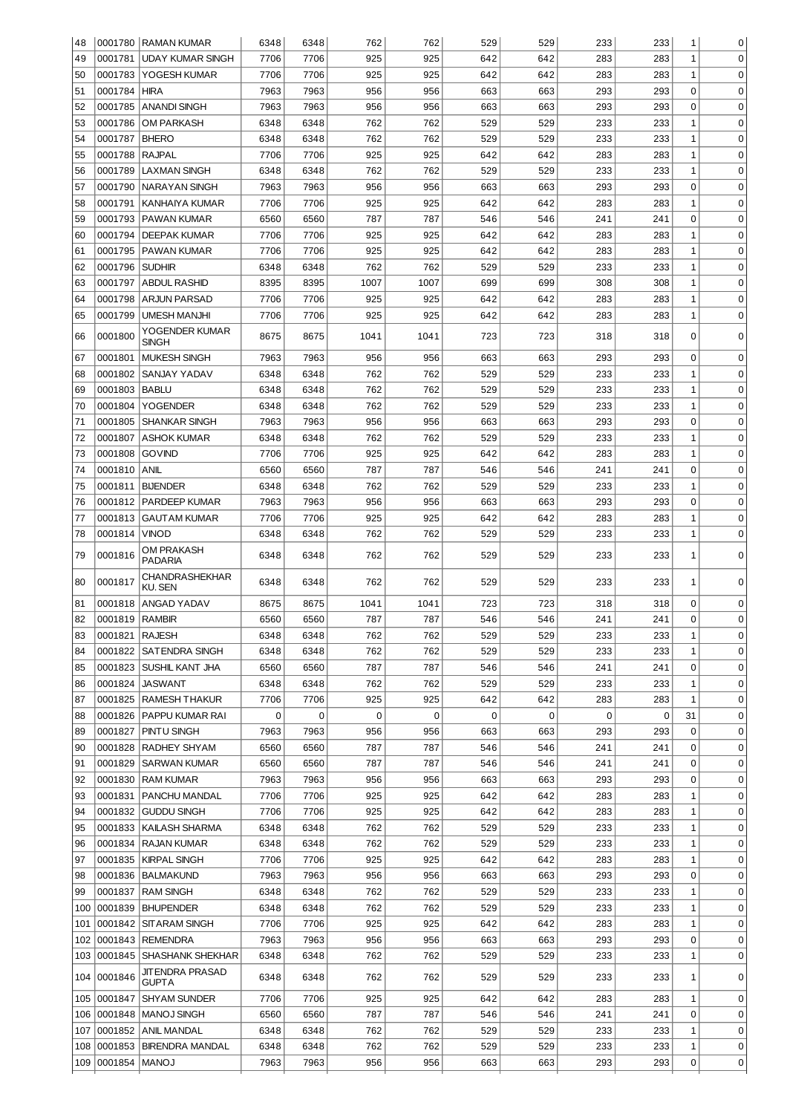| 48  |                    | 0001780 RAMAN KUMAR              | 6348                | 6348                     | 762                | 762                | 529 | 529         | 233      | 233      | 1                 | 0                          |
|-----|--------------------|----------------------------------|---------------------|--------------------------|--------------------|--------------------|-----|-------------|----------|----------|-------------------|----------------------------|
| 49  | 0001781            | <b>UDAY KUMAR SINGH</b>          | 7706                | 7706                     | 925                | 925                | 642 | 642         | 283      | 283      | $\mathbf{1}$      | $\mathbf 0$                |
| 50  | 0001783            | YOGESH KUMAR                     | 7706                | 7706                     | 925                | 925                | 642 | 642         | 283      | 283      | $\mathbf{1}$      | $\mathbf 0$                |
| 51  | 0001784            | <b>HIRA</b>                      | 7963                | 7963                     | 956                | 956                | 663 | 663         | 293      | 293      | $\mathbf 0$       | $\mathbf 0$                |
| 52  | 0001785            | <b>ANANDI SINGH</b>              | 7963                | 7963                     | 956                | 956                | 663 | 663         | 293      | 293      | $\mathbf 0$       | $\mathbf 0$                |
| 53  | 0001786            | <b>OM PARKASH</b>                | 6348                | 6348                     | 762                | 762                | 529 | 529         | 233      | 233      | 1                 | 0                          |
| 54  | 0001787            | <b>BHERO</b>                     | 6348                | 6348                     | 762                | 762                | 529 | 529         | 233      | 233      | $\mathbf{1}$      | $\mathbf 0$                |
| 55  | 0001788            | <b>RAJPAL</b>                    | 7706                | 7706                     | 925                | 925                | 642 | 642         | 283      | 283      | $\mathbf{1}$      | 0                          |
| 56  | 0001789            | <b>LAXMAN SINGH</b>              | 6348                | 6348                     | 762                | 762                | 529 | 529         | 233      | 233      | $\mathbf{1}$      | $\mathbf 0$                |
| 57  | 0001790            | <b>NARAYAN SINGH</b>             | 7963                | 7963                     | 956                | 956                | 663 | 663         | 293      | 293      | $\mathbf 0$       | $\mathbf 0$                |
| 58  | 0001791            | <b>KANHAIYA KUMAR</b>            | 7706                | 7706                     | 925                | 925                | 642 | 642         | 283      | 283      | $\mathbf{1}$      | $\mathbf 0$                |
| 59  | 0001793            | PAWAN KUMAR                      | 6560                | 6560                     | 787                | 787                | 546 | 546         | 241      | 241      | $\mathbf 0$       | $\mathbf 0$                |
| 60  | 0001794            | <b>DEEPAK KUMAR</b>              | 7706                | 7706                     | 925                | 925                | 642 | 642         | 283      | 283      | $\mathbf{1}$      | $\mathbf 0$                |
| 61  | 0001795            | PAWAN KUMAR                      | 7706                | 7706                     | 925                | 925                | 642 | 642         | 283      | 283      | $\mathbf{1}$      | $\mathbf 0$                |
| 62  | 0001796            | <b>SUDHIR</b>                    | 6348                | 6348                     | 762                | 762                | 529 | 529         | 233      | 233      | $\mathbf 1$       | $\mathbf 0$                |
| 63  | 0001797            | <b>ABDUL RASHID</b>              | 8395                | 8395                     | 1007               | 1007               | 699 | 699         | 308      | 308      | $\mathbf 1$       | $\mathbf 0$                |
| 64  | 0001798            | <b>ARJUN PARSAD</b>              | 7706                | 7706                     | 925                | 925                | 642 | 642         | 283      | 283      | $\mathbf 1$       | $\mathbf 0$                |
| 65  | 0001799            | <b>UMESH MANJHI</b>              | 7706                | 7706                     | 925                | 925                | 642 | 642         | 283      | 283      | $\mathbf 1$       | $\mathbf 0$                |
|     |                    | YOGENDER KUMAR                   |                     |                          |                    |                    |     |             |          |          |                   |                            |
| 66  | 0001800            | <b>SINGH</b>                     | 8675                | 8675                     | 1041               | 1041               | 723 | 723         | 318      | 318      | $\mathbf 0$       | $\mathbf 0$                |
| 67  | 0001801            | <b>MUKESH SINGH</b>              | 7963                | 7963                     | 956                | 956                | 663 | 663         | 293      | 293      | 0                 | $\mathbf 0$                |
| 68  | 0001802            | SANJAY YADAV                     | 6348                | 6348                     | 762                | 762                | 529 | 529         | 233      | 233      | $\mathbf{1}$      | 0                          |
| 69  | 0001803            | <b>BABLU</b>                     | 6348                | 6348                     | 762                | 762                | 529 | 529         | 233      | 233      | $\mathbf{1}$      | $\mathbf 0$                |
| 70  | 0001804            | <b>YOGENDER</b>                  | 6348                | 6348                     | 762                | 762                | 529 | 529         | 233      | 233      | $\mathbf{1}$      | $\mathbf 0$                |
| 71  | 0001805            | <b>SHANKAR SINGH</b>             | 7963                | 7963                     | 956                | 956                | 663 | 663         | 293      | 293      | $\mathbf 0$       | $\mathbf 0$                |
| 72  | 0001807            | <b>ASHOK KUMAR</b>               | 6348                | 6348                     | 762                | 762                | 529 | 529         | 233      | 233      | $\mathbf 1$       | $\mathbf 0$                |
| 73  | 0001808            | <b>GOVIND</b>                    | 7706                | 7706                     | 925                | 925                | 642 | 642         | 283      | 283      | $\mathbf 1$       | $\mathbf 0$                |
| 74  | 0001810            | <b>ANIL</b>                      | 6560                | 6560                     | 787                | 787                | 546 | 546         | 241      | 241      | 0                 | $\mathbf 0$                |
| 75  | 0001811            | <b>BIJENDER</b>                  | 6348                | 6348                     | 762                | 762                | 529 | 529         | 233      | 233      | 1                 | $\mathbf 0$                |
| 76  | 0001812            | PARDEEP KUMAR                    | 7963                | 7963                     | 956                | 956                | 663 | 663         | 293      | 293      | 0                 | $\mathbf 0$                |
| 77  | 0001813            | <b>GAUTAM KUMAR</b>              | 7706                | 7706                     | 925                | 925                | 642 | 642         | 283      | 283      | 1                 | $\mathbf 0$                |
| 78  | 0001814            | <b>VINOD</b>                     | 6348                | 6348                     | 762                | 762                | 529 | 529         | 233      | 233      | 1                 | $\mathbf 0$                |
|     |                    | OM PRAKASH                       |                     |                          |                    |                    |     |             |          |          |                   |                            |
| 79  | 0001816            | <b>PADARIA</b>                   | 6348                | 6348                     | 762                | 762                | 529 | 529         | 233      | 233      | $\mathbf 1$       | $\mathbf 0$                |
| 80  | 0001817            | <b>CHANDRASHEKHAR</b><br>KU. SEN | 6348                | 6348                     | 762                | 762                | 529 | 529         | 233      | 233      | 1                 | 0                          |
| 81  | 0001818            | ANGAD YADAV                      | 8675                | 8675                     | 1041               | 1041               | 723 | 723         | 318      | 318      | 0                 | 0                          |
| 82  | 0001819            | <b>RAMBIR</b>                    | 6560                | 6560                     | 787                | 787                | 546 | 546         | 241      | 241      | $\Omega$          | 0                          |
| 83  | 0001821   RAJESH   |                                  | 6348                | 6348                     | 762                | 762                | 529 | 529         | 233      | 233      | 1                 | 0                          |
| 84  | 0001822            | SATENDRA SINGH                   | 6348                | 6348                     | 762                | 762                | 529 | 529         | 233      | 233      | 1                 | $\mathbf 0$                |
| 85  | 0001823            | SUSHIL KANT JHA                  | 6560                | 6560                     | 787                | 787                | 546 | 546         | 241      | 241      | 0                 | 0                          |
| 86  | 0001824            | <b>JASWANT</b>                   | 6348                | 6348                     | 762                | 762                | 529 | 529         | 233      | 233      | 1                 | $\mathbf 0$                |
| 87  | 0001825            | <b>RAMESH THAKUR</b>             | 7706                | 7706                     | 925                | 925                | 642 | 642         | 283      | 283      | 1                 | $\mathbf 0$                |
|     |                    |                                  |                     |                          |                    |                    |     |             |          |          |                   |                            |
| 88  | 0001826<br>0001827 | PAPPU KUMAR RAI<br>PINTU SINGH   | $\mathbf 0$<br>7963 | $\boldsymbol{0}$<br>7963 | $\mathbf 0$<br>956 | $\mathbf 0$<br>956 | 0   | $\mathbf 0$ | 0<br>293 | 0<br>293 | 31<br>$\mathbf 0$ | $\mathbf 0$<br>$\mathbf 0$ |
| 89  | 0001828            |                                  |                     |                          | 787                | 787                | 663 | 663         |          |          | $\mathbf 0$       | $\mathbf 0$                |
| 90  | 0001829            | RADHEY SHYAM                     | 6560                | 6560                     | 787                | 787                | 546 | 546         | 241      | 241      |                   | $\mathbf 0$                |
| 91  |                    | <b>SARWAN KUMAR</b>              | 6560                | 6560                     |                    |                    | 546 | 546         | 241      | 241      | 0                 |                            |
| 92  | 0001830            | <b>RAM KUMAR</b>                 | 7963                | 7963                     | 956                | 956                | 663 | 663         | 293      | 293      | 0                 | 0                          |
| 93  | 0001831            | PANCHU MANDAL                    | 7706                | 7706                     | 925                | 925                | 642 | 642         | 283      | 283      | 1                 | 0                          |
| 94  | 0001832            | <b>GUDDU SINGH</b>               | 7706                | 7706                     | 925                | 925                | 642 | 642         | 283      | 283      | 1                 | 0                          |
| 95  | 0001833            | KAILASH SHARMA                   | 6348                | 6348                     | 762                | 762                | 529 | 529         | 233      | 233      | 1                 | 0                          |
| 96  | 0001834            | RAJAN KUMAR                      | 6348                | 6348                     | 762                | 762                | 529 | 529         | 233      | 233      | 1                 | 0                          |
| 97  | 0001835            | <b>KIRPAL SINGH</b>              | 7706                | 7706                     | 925                | 925                | 642 | 642         | 283      | 283      | 1                 | 0                          |
| 98  | 0001836            | BALMAKUND                        | 7963                | 7963                     | 956                | 956                | 663 | 663         | 293      | 293      | 0                 | $\mathbf 0$                |
| 99  | 0001837            | <b>RAM SINGH</b>                 | 6348                | 6348                     | 762                | 762                | 529 | 529         | 233      | 233      | 1                 | $\mathbf 0$                |
| 100 | 0001839            | BHUPENDER                        | 6348                | 6348                     | 762                | 762                | 529 | 529         | 233      | 233      | 1                 | $\mathbf 0$                |
| 101 |                    | 0001842 SIT ARAM SINGH           | 7706                | 7706                     | 925                | 925                | 642 | 642         | 283      | 283      | $\mathbf 1$       | $\mathbf 0$                |
| 102 |                    | 0001843 REMENDRA                 | 7963                | 7963                     | 956                | 956                | 663 | 663         | 293      | 293      | $\mathbf 0$       | $\mathbf 0$                |
| 103 |                    | 0001845   SHASHANK SHEKHAR       | 6348                | 6348                     | 762                | 762                | 529 | 529         | 233      | 233      | $\mathbf{1}$      | $\mathbf 0$                |
| 104 | 0001846            | JIT ENDRA PRASAD<br>GUPTA        | 6348                | 6348                     | 762                | 762                | 529 | 529         | 233      | 233      | 1                 | 0                          |
| 105 | 0001847            | SHYAM SUNDER                     | 7706                | 7706                     | 925                | 925                | 642 | 642         | 283      | 283      | 1                 | 0                          |
| 106 | 0001848            | <b>MANOJ SINGH</b>               | 6560                | 6560                     | 787                | 787                | 546 | 546         | 241      | 241      | 0                 | 0                          |
| 107 | 0001852            | ANIL MANDAL                      | 6348                | 6348                     | 762                | 762                | 529 | 529         | 233      | 233      | 1                 | 0                          |
| 108 | 0001853            | <b>BIRENDRA MANDAL</b>           | 6348                | 6348                     | 762                | 762                | 529 | 529         | 233      | 233      | 1                 | 0                          |
| 109 | 0001854            | <b>MANOJ</b>                     | 7963                | 7963                     | 956                | 956                | 663 | 663         | 293      | 293      | 0                 | 0                          |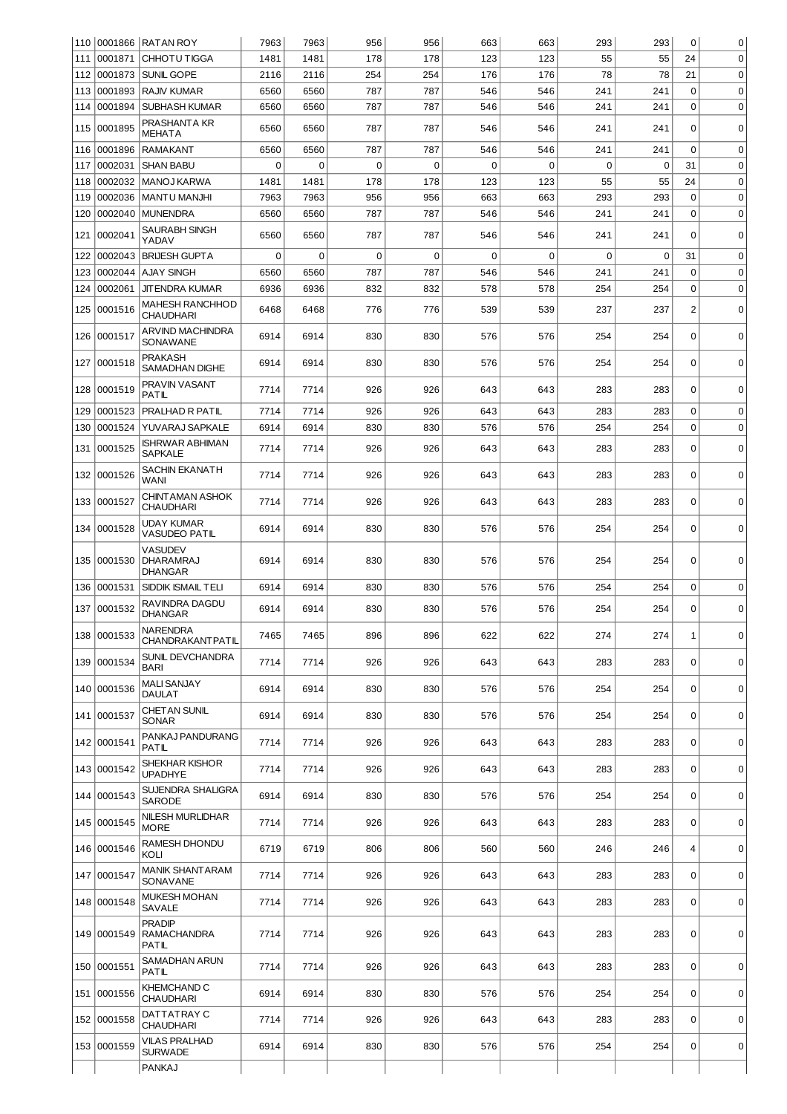|     |              | 110 0001866 RATAN ROY                        | 7963     | 7963        | 956      | 956      | 663      | 663      | 293         | 293      | $\mathbf 0$      | $\mathbf 0$ |
|-----|--------------|----------------------------------------------|----------|-------------|----------|----------|----------|----------|-------------|----------|------------------|-------------|
| 111 | 0001871      | <b>CHHOTU TIGGA</b>                          | 1481     | 1481        | 178      | 178      | 123      | 123      | 55          | 55       | 24               | $\mathbf 0$ |
| 112 | 0001873      | <b>SUNIL GOPE</b>                            | 2116     | 2116        | 254      | 254      | 176      | 176      | 78          | 78       | 21               | $\mathbf 0$ |
| 113 | 0001893      | <b>RAJIV KUMAR</b>                           | 6560     | 6560        | 787      | 787      | 546      | 546      | 241         | 241      | $\mathbf 0$      | $\mathbf 0$ |
| 114 | 0001894      | SUBHASH KUMAR                                | 6560     | 6560        | 787      | 787      | 546      | 546      | 241         | 241      | $\Omega$         | $\mathbf 0$ |
| 115 | 0001895      | PRASHANTA KR<br><b>MEHATA</b>                | 6560     | 6560        | 787      | 787      | 546      | 546      | 241         | 241      | $\mathbf 0$      | $\mathbf 0$ |
| 116 | 0001896      | <b>RAMAKANT</b>                              | 6560     | 6560        | 787      | 787      | 546      | 546      | 241         | 241      | $\Omega$         | $\mathbf 0$ |
| 117 | 0002031      | <b>SHAN BABU</b>                             | $\Omega$ | $\Omega$    | $\Omega$ | $\Omega$ | $\Omega$ | $\Omega$ | 0           | $\Omega$ | 31               | $\mathbf 0$ |
| 118 | 0002032      | <b>MANOJ KARWA</b>                           | 1481     | 1481        | 178      | 178      | 123      | 123      | 55          | 55       | 24               | $\mathbf 0$ |
| 119 | 0002036      | <b>MANTU MANJHI</b>                          | 7963     | 7963        | 956      | 956      | 663      | 663      | 293         | 293      | $\mathbf 0$      | $\mathbf 0$ |
| 120 | 0002040      | <b>MUNENDRA</b>                              | 6560     | 6560        | 787      | 787      | 546      | 546      | 241         | 241      | $\mathbf 0$      | $\mathbf 0$ |
| 121 | 0002041      | SAURABH SINGH<br>YADAV                       | 6560     | 6560        | 787      | 787      | 546      | 546      | 241         | 241      | $\Omega$         | $\Omega$    |
| 122 |              | 0002043 BRIJESH GUPTA                        | $\Omega$ | $\mathbf 0$ | $\Omega$ | $\Omega$ | $\Omega$ | $\Omega$ | $\mathbf 0$ | 0        | 31               | $\mathbf 0$ |
| 123 |              | 0002044  AJAY SINGH                          | 6560     | 6560        | 787      | 787      | 546      | 546      | 241         | 241      | $\Omega$         | $\mathbf 0$ |
| 124 | 0002061      | <b>JIT ENDRA KUMAR</b>                       | 6936     | 6936        | 832      | 832      | 578      | 578      | 254         | 254      | $\Omega$         | $\mathbf 0$ |
| 125 | 0001516      | MAHESH RANCHHOD<br>CHAUDHARI                 | 6468     | 6468        | 776      | 776      | 539      | 539      | 237         | 237      | $\overline{c}$   | $\mathbf 0$ |
| 126 | 0001517      | ARVIND MACHINDRA<br>SONAWANE                 | 6914     | 6914        | 830      | 830      | 576      | 576      | 254         | 254      | $\mathbf 0$      | $\mathbf 0$ |
| 127 | 0001518      | PRAKASH<br><b>SAMADHAN DIGHE</b>             | 6914     | 6914        | 830      | 830      | 576      | 576      | 254         | 254      | $\mathbf 0$      | $\mathbf 0$ |
| 128 | 0001519      | PRAVIN VASANT<br>PATIL                       | 7714     | 7714        | 926      | 926      | 643      | 643      | 283         | 283      | $\mathbf 0$      | 0           |
| 129 | 0001523      | <b>PRALHAD R PATIL</b>                       | 7714     | 7714        | 926      | 926      | 643      | 643      | 283         | 283      | $\mathbf 0$      | $\mathbf 0$ |
| 130 | 0001524      | YUVARAJ SAPKALE                              | 6914     | 6914        | 830      | 830      | 576      | 576      | 254         | 254      | $\Omega$         | 0           |
|     | 131 0001525  | <b>ISHRWAR ABHIMAN</b><br><b>SAPKALE</b>     | 7714     | 7714        | 926      | 926      | 643      | 643      | 283         | 283      | $\Omega$         | $\mathbf 0$ |
|     | 132 0001526  | SACHIN EKANATH<br>WANI                       | 7714     | 7714        | 926      | 926      | 643      | 643      | 283         | 283      | $\Omega$         | 0           |
|     | 133 0001527  | CHINTAMAN ASHOK<br><b>CHAUDHARI</b>          | 7714     | 7714        | 926      | 926      | 643      | 643      | 283         | 283      | $\mathbf 0$      | $\mathbf 0$ |
|     | 134 0001528  | <b>UDAY KUMAR</b><br><b>VASUDEO PATIL</b>    | 6914     | 6914        | 830      | 830      | 576      | 576      | 254         | 254      | $\Omega$         | $\mathbf 0$ |
|     | 135 0001530  | <b>VASUDEV</b><br><b>DHARAMRAJ</b>           | 6914     | 6914        | 830      | 830      | 576      | 576      | 254         | 254      | 0                | 0           |
|     | 136 0001531  | DHANGAR<br>SIDDIK ISMAIL TELI                | 6914     | 6914        | 830      | 830      | 576      | 576      | 254         | 254      | $\mathbf 0$      | $\mathbf 0$ |
| 137 | 0001532      | RAVINDRA DAGDU<br>DHANGAR                    | 6914     | 6914        | 830      | 830      | 576      | 576      | 254         | 254      | $\mathbf 0$      | $\mathbf 0$ |
|     | 138 0001533  | NARENDRA<br>CHANDRAKANTPATIL                 | 7465     | 7465        | 896      | 896      | 622      | 622      | 274         | 274      | 1                | 0           |
|     | 139 0001534  | SUNIL DEVCHANDRA<br><b>BARI</b>              | 7714     | 7714        | 926      | 926      | 643      | 643      | 283         | 283      | $\mathbf 0$      | 0           |
|     | 140 0001536  | MALI SANJAY<br><b>DAULAT</b>                 | 6914     | 6914        | 830      | 830      | 576      | 576      | 254         | 254      | $\mathbf 0$      | $\mathbf 0$ |
|     | 141 0001537  | CHET AN SUNIL<br><b>SONAR</b>                | 6914     | 6914        | 830      | 830      | 576      | 576      | 254         | 254      | $\mathbf 0$      | 0           |
|     | 142 0001541  | PANKAJ PANDURANG<br>PATIL                    | 7714     | 7714        | 926      | 926      | 643      | 643      | 283         | 283      | 0                | 0           |
|     | 143 0001542  | SHEKHAR KISHOR<br>UPADHYE                    | 7714     | 7714        | 926      | 926      | 643      | 643      | 283         | 283      | $\mathbf 0$      | $\mathbf 0$ |
|     | 144 0001543  | SUJENDRA SHALIGRA<br>SARODE                  | 6914     | 6914        | 830      | 830      | 576      | 576      | 254         | 254      | $\mathbf 0$      | $\mathbf 0$ |
|     | 145 0001545  | NILESH MURLIDHAR<br><b>MORE</b>              | 7714     | 7714        | 926      | 926      | 643      | 643      | 283         | 283      | 0                | 0           |
|     | 146 0001546  | RAMESH DHONDU<br>KOLI                        | 6719     | 6719        | 806      | 806      | 560      | 560      | 246         | 246      | $\overline{4}$   | $\mathbf 0$ |
|     | 147  0001547 | <b>MANIK SHANT ARAM</b><br>SONAVANE          | 7714     | 7714        | 926      | 926      | 643      | 643      | 283         | 283      | 0                | 0           |
|     | 148 0001548  | MUKESH MOHAN<br>SAVALE                       | 7714     | 7714        | 926      | 926      | 643      | 643      | 283         | 283      | $\mathbf 0$      | $\mathbf 0$ |
|     | 149 0001549  | <b>PRADIP</b><br><b>RAMACHANDRA</b><br>PATIL | 7714     | 7714        | 926      | 926      | 643      | 643      | 283         | 283      | 0                | $\mathbf 0$ |
|     | 150 0001551  | SAMADHAN ARUN<br>PATIL                       | 7714     | 7714        | 926      | 926      | 643      | 643      | 283         | 283      | $\mathbf 0$      | $\mathbf 0$ |
|     | 151 0001556  | KHEMCHAND C<br><b>CHAUDHARI</b>              | 6914     | 6914        | 830      | 830      | 576      | 576      | 254         | 254      | $\mathbf 0$      | $\mathbf 0$ |
|     | 152 0001558  | DATTATRAY C<br>CHAUDHARI                     | 7714     | 7714        | 926      | 926      | 643      | 643      | 283         | 283      | $\mathbf 0$      | $\mathbf 0$ |
|     | 153 0001559  | VILAS PRALHAD<br>SURWADE                     | 6914     | 6914        | 830      | 830      | 576      | 576      | 254         | 254      | $\boldsymbol{0}$ | 0           |
|     |              | <b>PANKAJ</b>                                |          |             |          |          |          |          |             |          |                  |             |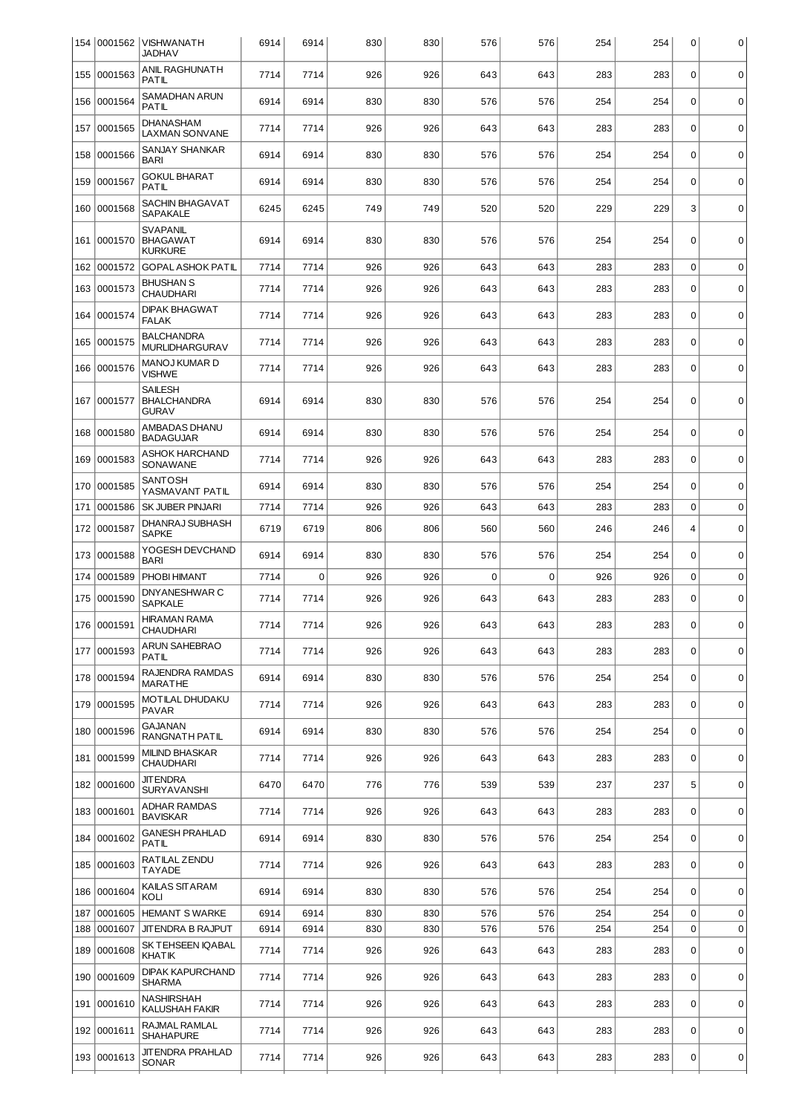|     |              | 154   0001562   VISHWANATH<br><b>JADHAV</b>          | 6914 | 6914        | 830 | 830 | 576 | 576         | 254 | 254 | 0                | 0           |
|-----|--------------|------------------------------------------------------|------|-------------|-----|-----|-----|-------------|-----|-----|------------------|-------------|
|     | 155 0001563  | ANIL RAGHUNATH<br>PATIL                              | 7714 | 7714        | 926 | 926 | 643 | 643         | 283 | 283 | $\mathbf 0$      | $\mathbf 0$ |
| 156 | 0001564      | SAMADHAN ARUN<br>PATIL                               | 6914 | 6914        | 830 | 830 | 576 | 576         | 254 | 254 | $\mathbf 0$      | $\mathbf 0$ |
| 157 | 0001565      | DHANASHAM<br><b>LAXMAN SONVANE</b>                   | 7714 | 7714        | 926 | 926 | 643 | 643         | 283 | 283 | $\mathbf 0$      | $\pmb{0}$   |
| 158 | 0001566      | SANJAY SHANKAR<br>BARI                               | 6914 | 6914        | 830 | 830 | 576 | 576         | 254 | 254 | $\mathbf 0$      | $\mathbf 0$ |
| 159 | 0001567      | GOKUL BHARAT<br><b>PATIL</b>                         | 6914 | 6914        | 830 | 830 | 576 | 576         | 254 | 254 | $\mathbf 0$      | $\mathbf 0$ |
|     | 160 0001568  | SACHIN BHAGAVAT<br><b>SAPAKALE</b>                   | 6245 | 6245        | 749 | 749 | 520 | 520         | 229 | 229 | 3                | $\pmb{0}$   |
|     | 161 0001570  | <b>SVAPANIL</b><br><b>BHAGAWAT</b><br><b>KURKURE</b> | 6914 | 6914        | 830 | 830 | 576 | 576         | 254 | 254 | $\mathbf 0$      | $\mathbf 0$ |
| 162 | 0001572      | <b>GOPAL ASHOK PATIL</b>                             | 7714 | 7714        | 926 | 926 | 643 | 643         | 283 | 283 | $\mathbf 0$      | $\mathbf 0$ |
|     | 163 0001573  | BHUSHAN S<br><b>CHAUDHARI</b>                        | 7714 | 7714        | 926 | 926 | 643 | 643         | 283 | 283 | $\mathbf 0$      | $\mathbf 0$ |
| 164 | 0001574      | <b>DIPAK BHAGWAT</b><br><b>FALAK</b>                 | 7714 | 7714        | 926 | 926 | 643 | 643         | 283 | 283 | $\mathbf 0$      | $\mathbf 0$ |
|     | 165 0001575  | <b>BALCHANDRA</b><br><b>MURLIDHARGURAV</b>           | 7714 | 7714        | 926 | 926 | 643 | 643         | 283 | 283 | $\mathbf 0$      | $\mathbf 0$ |
|     | 166 0001576  | MANOJ KUMAR D<br><b>VISHWE</b>                       | 7714 | 7714        | 926 | 926 | 643 | 643         | 283 | 283 | $\Omega$         | $\mathbf 0$ |
|     | 167 0001577  | <b>SAILESH</b><br><b>BHALCHANDRA</b><br>GURAV        | 6914 | 6914        | 830 | 830 | 576 | 576         | 254 | 254 | 0                | $\mathbf 0$ |
| 168 | 0001580      | AMBADAS DHANU<br><b>BADAGUJAR</b>                    | 6914 | 6914        | 830 | 830 | 576 | 576         | 254 | 254 | $\Omega$         | $\mathbf 0$ |
| 169 | 0001583      | ASHOK HARCHAND<br>SONAWANE                           | 7714 | 7714        | 926 | 926 | 643 | 643         | 283 | 283 | $\mathbf 0$      | $\mathbf 0$ |
|     | 170 0001585  | SANTOSH<br>YASMAVANT PATIL                           | 6914 | 6914        | 830 | 830 | 576 | 576         | 254 | 254 | $\mathbf 0$      | $\mathbf 0$ |
| 171 | 0001586      | SK JUBER PINJARI                                     | 7714 | 7714        | 926 | 926 | 643 | 643         | 283 | 283 | $\mathbf 0$      | $\mathbf 0$ |
| 172 | 0001587      | DHANRAJ SUBHASH<br><b>SAPKE</b>                      | 6719 | 6719        | 806 | 806 | 560 | 560         | 246 | 246 | 4                | $\mathbf 0$ |
| 173 | 0001588      | YOGESH DEVCHAND<br><b>BARI</b>                       | 6914 | 6914        | 830 | 830 | 576 | 576         | 254 | 254 | $\mathbf 0$      | $\mathbf 0$ |
| 174 | 0001589      | PHOBI HIMANT                                         | 7714 | $\mathbf 0$ | 926 | 926 | 0   | $\mathbf 0$ | 926 | 926 | $\mathbf 0$      | $\mathbf 0$ |
|     | 175 0001590  | DNYANESHWAR C<br><b>SAPKALE</b>                      | 7714 | 7714        | 926 | 926 | 643 | 643         | 283 | 283 | $\mathbf 0$      | $\mathbf 0$ |
|     | 176  0001591 | <b>HIRAMAN RAMA</b><br>CHAUDHARI                     | 7714 | 7714        | 926 | 926 | 643 | 643         | 283 | 283 | $\Omega$         | 0           |
|     | 177 0001593  | ARUN SAHEBRAO<br>PATIL                               | 7714 | 7714        | 926 | 926 | 643 | 643         | 283 | 283 | $\mathbf 0$      | $\mathbf 0$ |
|     | 178 0001594  | RAJENDRA RAMDAS<br><b>MARATHE</b>                    | 6914 | 6914        | 830 | 830 | 576 | 576         | 254 | 254 | $\Omega$         | $\mathbf 0$ |
|     | 179 0001595  | MOTILAL DHUDAKU<br>PAVAR                             | 7714 | 7714        | 926 | 926 | 643 | 643         | 283 | 283 | $\mathbf 0$      | $\mathbf 0$ |
|     | 180 0001596  | GAJANAN<br>RANGNATH PATIL                            | 6914 | 6914        | 830 | 830 | 576 | 576         | 254 | 254 | $\mathbf 0$      | $\mathbf 0$ |
|     | 181 0001599  | MILIND BHASKAR<br><b>CHAUDHARI</b>                   | 7714 | 7714        | 926 | 926 | 643 | 643         | 283 | 283 | $\mathbf 0$      | $\mathbf 0$ |
|     | 182 0001600  | <b>JIT ENDRA</b><br><b>SURYAVANSHI</b>               | 6470 | 6470        | 776 | 776 | 539 | 539         | 237 | 237 | 5                | $\mathbf 0$ |
|     | 183 0001601  | ADHAR RAMDAS<br><b>BAVISKAR</b>                      | 7714 | 7714        | 926 | 926 | 643 | 643         | 283 | 283 | $\mathbf 0$      | $\mathbf 0$ |
|     | 184 0001602  | <b>GANESH PRAHLAD</b><br>PATIL                       | 6914 | 6914        | 830 | 830 | 576 | 576         | 254 | 254 | $\Omega$         | $\mathbf 0$ |
|     | 185 0001603  | RATILAL ZENDU<br><b>TAYADE</b>                       | 7714 | 7714        | 926 | 926 | 643 | 643         | 283 | 283 | $\mathbf 0$      | $\mathbf 0$ |
|     | 186 0001604  | KAILAS SITARAM<br>KOLI                               | 6914 | 6914        | 830 | 830 | 576 | 576         | 254 | 254 | $\mathbf 0$      | $\mathbf 0$ |
| 187 | 0001605      | <b>HEMANT S WARKE</b>                                | 6914 | 6914        | 830 | 830 | 576 | 576         | 254 | 254 | $\boldsymbol{0}$ | $\mathbf 0$ |
| 188 | 0001607      | JIT ENDRA B RAJPUT                                   | 6914 | 6914        | 830 | 830 | 576 | 576         | 254 | 254 | $\mathbf 0$      | $\mathbf 0$ |
|     | 189 0001608  | SK TEHSEEN IQABAL<br>KHATIK                          | 7714 | 7714        | 926 | 926 | 643 | 643         | 283 | 283 | $\mathbf 0$      | 0           |
|     | 190 0001609  | DIPAK KAPURCHAND<br><b>SHARMA</b>                    | 7714 | 7714        | 926 | 926 | 643 | 643         | 283 | 283 | $\mathbf 0$      | $\mathbf 0$ |
|     | 191 0001610  | NASHIRSHAH<br>KALUSHAH FAKIR                         | 7714 | 7714        | 926 | 926 | 643 | 643         | 283 | 283 | $\mathbf 0$      | $\mathbf 0$ |
|     | 192 0001611  | RAJMAL RAMLAL<br>SHAHAPURE                           | 7714 | 7714        | 926 | 926 | 643 | 643         | 283 | 283 | $\mathbf 0$      | $\mathbf 0$ |
|     | 193 0001613  | JITENDRA PRAHLAD<br><b>SONAR</b>                     | 7714 | 7714        | 926 | 926 | 643 | 643         | 283 | 283 | 0                | 0           |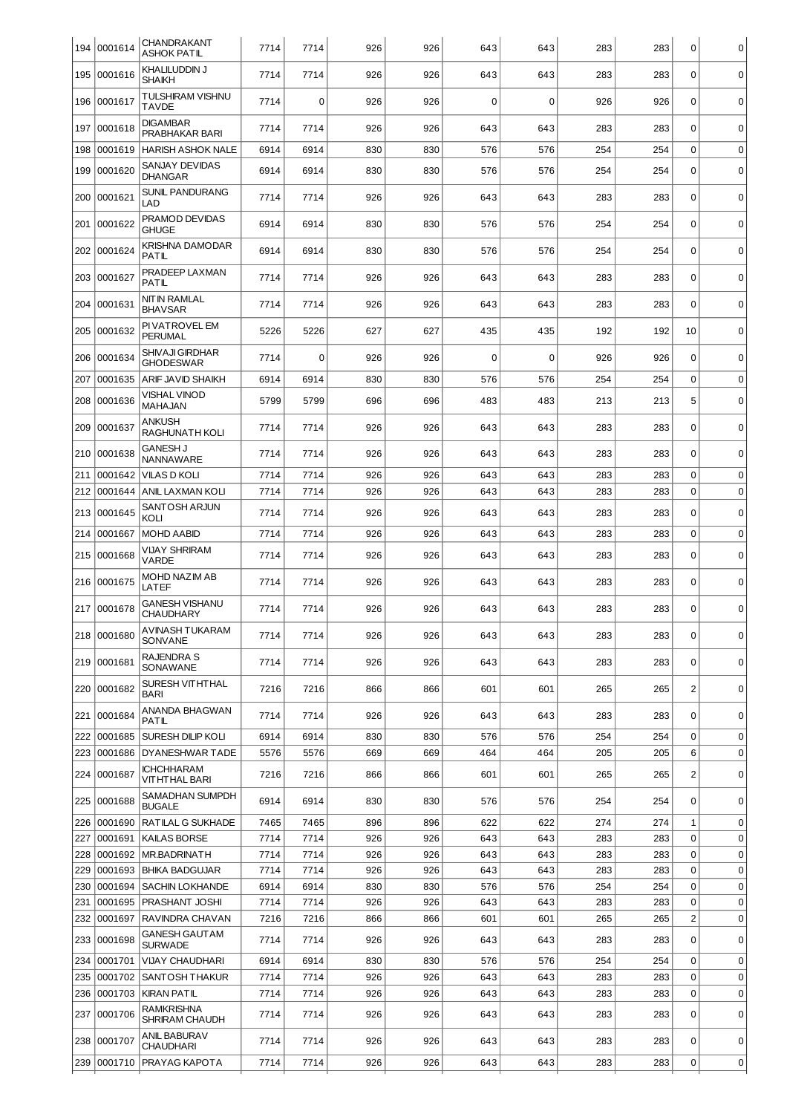| 194 | 0001614                | CHANDRAKANT<br>ASHOK PATIL                                | 7714         | 7714         | 926        | 926        | 643         | 643        | 283        | 283        | $\mathbf 0$      | $\mathbf 0$                |
|-----|------------------------|-----------------------------------------------------------|--------------|--------------|------------|------------|-------------|------------|------------|------------|------------------|----------------------------|
|     | 195  0001616           | KHALILUDDIN J<br>SHAIKH                                   | 7714         | 7714         | 926        | 926        | 643         | 643        | 283        | 283        | $\mathbf 0$      | 0                          |
| 196 | 0001617                | <b>TULSHIRAM VISHNU</b><br><b>TAVDE</b>                   | 7714         | $\mathbf 0$  | 926        | 926        | 0           | 0          | 926        | 926        | $\Omega$         | $\mathbf 0$                |
| 197 | 0001618                | <b>DIGAMBAR</b><br>PRABHAKAR BARI                         | 7714         | 7714         | 926        | 926        | 643         | 643        | 283        | 283        | $\mathbf 0$      | $\mathbf 0$                |
| 198 | 0001619                | <b>HARISH ASHOK NALE</b>                                  | 6914         | 6914         | 830        | 830        | 576         | 576        | 254        | 254        | $\mathbf 0$      | $\mathbf 0$                |
| 199 | 0001620                | SANJAY DEVIDAS<br><b>DHANGAR</b>                          | 6914         | 6914         | 830        | 830        | 576         | 576        | 254        | 254        | $\mathbf 0$      | $\mathbf 0$                |
| 200 | 0001621                | <b>SUNIL PANDURANG</b><br>LAD                             | 7714         | 7714         | 926        | 926        | 643         | 643        | 283        | 283        | $\Omega$         | $\mathbf 0$                |
| 201 | 0001622                | PRAMOD DEVIDAS<br><b>GHUGE</b>                            | 6914         | 6914         | 830        | 830        | 576         | 576        | 254        | 254        | $\mathbf 0$      | $\mathbf 0$                |
| 202 | 0001624                | KRISHNA DAMODAR<br>PATIL                                  | 6914         | 6914         | 830        | 830        | 576         | 576        | 254        | 254        | $\mathbf 0$      | $\mathbf 0$                |
| 203 | 0001627                | PRADEEP LAXMAN<br>PATIL                                   | 7714         | 7714         | 926        | 926        | 643         | 643        | 283        | 283        | $\mathbf 0$      | $\mathbf 0$                |
| 204 | 0001631                | NITIN RAMLAL<br><b>BHAVSAR</b>                            | 7714         | 7714         | 926        | 926        | 643         | 643        | 283        | 283        | $\Omega$         | $\mathbf 0$                |
| 205 | 0001632                | PI VATROVEL EM<br><b>PERUMAL</b>                          | 5226         | 5226         | 627        | 627        | 435         | 435        | 192        | 192        | 10               | $\mathbf 0$                |
| 206 | 0001634                | SHIVAJI GIRDHAR<br>GHODESWAR                              | 7714         | $\mathbf 0$  | 926        | 926        | $\mathbf 0$ | $\Omega$   | 926        | 926        | $\mathbf 0$      | $\mathbf 0$                |
| 207 | 0001635                | <b>ARIF JAVID SHAIKH</b>                                  | 6914         | 6914         | 830        | 830        | 576         | 576        | 254        | 254        | $\mathbf 0$      | $\mathbf 0$                |
| 208 | 0001636                | <b>VISHAL VINOD</b><br>MAHAJAN                            | 5799         | 5799         | 696        | 696        | 483         | 483        | 213        | 213        | 5                | $\mathbf 0$                |
| 209 | 0001637                | <b>ANKUSH</b><br>RAGHUNATH KOLI                           | 7714         | 7714         | 926        | 926        | 643         | 643        | 283        | 283        | $\mathbf 0$      | $\mathbf 0$                |
| 210 | 0001638                | GANESH J<br>NANNAWARE                                     | 7714         | 7714         | 926        | 926        | 643         | 643        | 283        | 283        | $\mathbf 0$      | 0                          |
| 211 | 0001642                | <b>VILAS D KOLI</b>                                       | 7714         | 7714         | 926        | 926        | 643         | 643        | 283        | 283        | $\mathbf 0$      | 0                          |
| 212 | 0001644                | ANIL LAXMAN KOLI                                          | 7714         | 7714         | 926        | 926        | 643         | 643        | 283        | 283        | $\Omega$         | 0                          |
| 213 | 0001645                | SANTOSH ARJUN<br>KOLI                                     | 7714         | 7714         | 926        | 926        | 643         | 643        | 283        | 283        | $\Omega$         | $\mathbf 0$                |
| 214 | 0001667                | <b>MOHD AABID</b>                                         | 7714         | 7714         | 926        | 926        | 643         | 643        | 283        | 283        | $\mathbf 0$      | $\mathbf 0$                |
| 215 | 0001668                | VIJAY SHRIRAM<br>VARDE                                    | 7714         | 7714         | 926        | 926        | 643         | 643        | 283        | 283        | $\mathbf 0$      | $\mathbf 0$                |
|     | 216 0001675            | MOHD NAZIM AB<br>LATEF                                    | 7714         | 7714         | 926        | 926        | 643         | 643        | 283        | 283        | $\mathbf 0$      | $\mathbf 0$                |
| 217 | 0001678                | <b>GANESH VISHANU</b><br>CHAUDHARY                        | 7714         | 7714         | 926        | 926        | 643         | 643        | 283        | 283        | $\Omega$         | $\mathbf 0$                |
|     | 218 0001680            | AVINASH TUKARAM<br><b>SONVANE</b>                         | 7714         | 7714         | 926        | 926        | 643         | 643        | 283        | 283        | 0                | $\overline{0}$             |
|     | 219 0001681            | <b>RAJENDRA S</b><br>SONAWANE                             | 7714         | 7714         | 926        | 926        | 643         | 643        | 283        | 283        | $\mathbf 0$      | 0                          |
|     | 220 0001682            | SURESH VITHTHAL<br>BARI                                   | 7216         | 7216         | 866        | 866        | 601         | 601        | 265        | 265        | $\overline{2}$   | $\mathbf 0$                |
|     | 221 0001684            | ANANDA BHAGWAN<br>PATIL                                   | 7714         | 7714         | 926        | 926        | 643         | 643        | 283        | 283        | 0                | 0                          |
| 222 | 0001685                | SURESH DILIP KOLI                                         | 6914         | 6914         | 830        | 830        | 576         | 576        | 254        | 254        | 0                | 0                          |
| 223 | 0001686                | DYANESHWAR TADE                                           | 5576         | 5576         | 669        | 669        | 464         | 464        | 205        | 205        | 6                | 0                          |
|     | 224 0001687            | <b>ICHCHHARAM</b><br>VITHTHAL BARI                        | 7216         | 7216         | 866        | 866        | 601         | 601        | 265        | 265        | $\overline{2}$   | 0                          |
|     | 225 0001688            | SAMADHAN SUMPDH<br><b>BUGALE</b>                          | 6914         | 6914         | 830        | 830        | 576         | 576        | 254        | 254        | $\mathbf 0$      | 0                          |
| 226 | 0001690                | RATILAL G SUKHADE                                         | 7465         | 7465         | 896        | 896        | 622         | 622        | 274        | 274        | 1                | 0                          |
| 227 | 0001691                | KAILAS BORSE                                              | 7714         | 7714         | 926        | 926        | 643         | 643        | 283        | 283        | $\mathbf 0$      | 0                          |
| 228 | 0001692                | MR.BADRINATH                                              | 7714         | 7714         | 926        | 926        | 643         | 643        | 283        | 283        | $\mathbf 0$      | 0                          |
| 229 | 0001693                | <b>BHIKA BADGUJAR</b>                                     | 7714         | 7714         | 926        | 926        | 643         | 643        | 283        | 283        | $\mathbf 0$      | 0                          |
| 230 | 0001694                | SACHIN LOKHANDE                                           | 6914         | 6914         | 830        | 830        | 576         | 576        | 254        | 254        | $\mathbf 0$      | 0                          |
| 231 | 0001695                | PRASHANT JOSHI                                            | 7714         | 7714         | 926        | 926        | 643         | 643        | 283        | 283        | $\mathbf 0$      | 0                          |
| 232 | 0001697<br>233 0001698 | RAVINDRA CHAVAN<br>GANESH GAUT AM                         | 7216<br>7714 | 7216<br>7714 | 866<br>926 | 866<br>926 | 601<br>643  | 601<br>643 | 265<br>283 | 265<br>283 | 2<br>$\mathbf 0$ | $\mathbf 0$<br>$\mathbf 0$ |
|     |                        | <b>SURWADE</b>                                            |              |              |            |            |             |            |            |            |                  |                            |
| 234 | 0001701                | <b>VIJAY CHAUDHARI</b>                                    | 6914         | 6914         | 830        | 830        | 576         | 576        | 254        | 254        | $\mathbf 0$<br>0 | 0                          |
| 235 | 0001702                | SANTOSH THAKUR                                            | 7714<br>7714 | 7714         | 926<br>926 | 926<br>926 | 643<br>643  | 643<br>643 | 283        | 283<br>283 | 0                | 0<br>0                     |
| 237 | 236 0001703<br>0001706 | <b>KIRAN PATIL</b><br>RAMKRISHNA<br><b>SHRIRAM CHAUDH</b> | 7714         | 7714<br>7714 | 926        | 926        | 643         | 643        | 283<br>283 | 283        | $\mathbf 0$      | $\mathbf 0$                |
|     | 238 0001707            | ANIL BABURAV<br><b>CHAUDHARI</b>                          | 7714         | 7714         | 926        | 926        | 643         | 643        | 283        | 283        | 0                | 0                          |
|     | 239 0001710            | PRAYAG KAPOTA                                             | 7714         | 7714         | 926        | 926        | 643         | 643        | 283        | 283        | 0                | 0                          |
|     |                        |                                                           |              |              |            |            |             |            |            |            |                  |                            |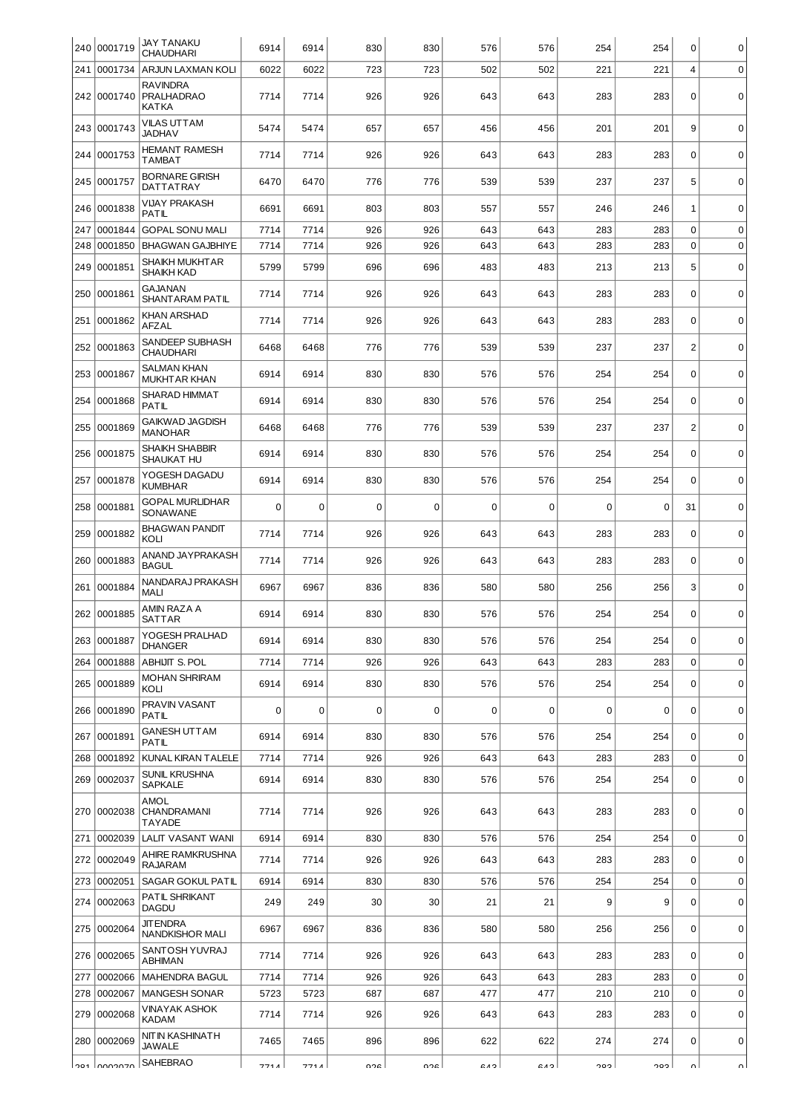|     | 240 0001719   | <b>JAY TANAKU</b><br><b>CHAUDHARI</b>         | 6914        | 6914        | 830         | 830         | 576         | 576         | 254 | 254         | $\mathbf 0$      | 0           |
|-----|---------------|-----------------------------------------------|-------------|-------------|-------------|-------------|-------------|-------------|-----|-------------|------------------|-------------|
| 241 | 0001734       | ARJUN LAXMAN KOLI                             | 6022        | 6022        | 723         | 723         | 502         | 502         | 221 | 221         | 4                | $\mathbf 0$ |
|     | 242 0001740   | <b>RAVINDRA</b><br><b>PRALHADRAO</b><br>KATKA | 7714        | 7714        | 926         | 926         | 643         | 643         | 283 | 283         | $\mathbf 0$      | 0           |
|     | 243 0001743   | VILAS UTTAM<br><b>JADHAV</b>                  | 5474        | 5474        | 657         | 657         | 456         | 456         | 201 | 201         | 9                | $\mathbf 0$ |
|     | 244 0001753   | <b>HEMANT RAMESH</b><br><b>TAMBAT</b>         | 7714        | 7714        | 926         | 926         | 643         | 643         | 283 | 283         | $\mathbf 0$      | $\mathbf 0$ |
| 245 | 0001757       | <b>BORNARE GIRISH</b><br>DATTATRAY            | 6470        | 6470        | 776         | 776         | 539         | 539         | 237 | 237         | 5                | $\mathbf 0$ |
| 246 | 0001838       | <b>VIJAY PRAKASH</b><br>PATIL                 | 6691        | 6691        | 803         | 803         | 557         | 557         | 246 | 246         | 1                | $\mathbf 0$ |
| 247 | 0001844       | <b>GOPAL SONU MALI</b>                        | 7714        | 7714        | 926         | 926         | 643         | 643         | 283 | 283         | $\mathbf 0$      | $\mathbf 0$ |
| 248 | 0001850       | <b>BHAGWAN GAJBHIYE</b>                       | 7714        | 7714        | 926         | 926         | 643         | 643         | 283 | 283         | $\mathbf 0$      | $\mathbf 0$ |
| 249 | 0001851       | SHAIKH MUKHT AR<br>SHAIKH KAD                 | 5799        | 5799        | 696         | 696         | 483         | 483         | 213 | 213         | 5                | $\mathbf 0$ |
| 250 | 0001861       | GAJANAN<br>SHANTARAM PATIL                    | 7714        | 7714        | 926         | 926         | 643         | 643         | 283 | 283         | $\mathbf 0$      | $\mathbf 0$ |
| 251 | 0001862       | KHAN ARSHAD<br><b>AFZAL</b>                   | 7714        | 7714        | 926         | 926         | 643         | 643         | 283 | 283         | $\mathbf 0$      | $\mathbf 0$ |
| 252 | 0001863       | <b>SANDEEP SUBHASH</b><br><b>CHAUDHARI</b>    | 6468        | 6468        | 776         | 776         | 539         | 539         | 237 | 237         | $\overline{c}$   | $\mathbf 0$ |
|     | 253 0001867   | SALMAN KHAN<br><b>MUKHTAR KHAN</b>            | 6914        | 6914        | 830         | 830         | 576         | 576         | 254 | 254         | $\mathbf 0$      | $\mathbf 0$ |
| 254 | 0001868       | SHARAD HIMMAT<br>PATIL                        | 6914        | 6914        | 830         | 830         | 576         | 576         | 254 | 254         | $\Omega$         | $\mathbf 0$ |
| 255 | 0001869       | <b>GAIKWAD JAGDISH</b><br><b>MANOHAR</b>      | 6468        | 6468        | 776         | 776         | 539         | 539         | 237 | 237         | $\overline{c}$   | $\mathbf 0$ |
|     | 256 0001875   | SHAIKH SHABBIR<br>SHAUKAT HU                  | 6914        | 6914        | 830         | 830         | 576         | 576         | 254 | 254         | $\mathbf 0$      | $\mathbf 0$ |
| 257 | 0001878       | YOGESH DAGADU<br><b>KUMBHAR</b>               | 6914        | 6914        | 830         | 830         | 576         | 576         | 254 | 254         | $\Omega$         | $\mathbf 0$ |
| 258 | 0001881       | <b>GOPAL MURLIDHAR</b><br>SONAWANE            | $\mathbf 0$ | 0           | 0           | $\mathbf 0$ | 0           | $\mathbf 0$ | 0   | $\mathbf 0$ | 31               | $\mathbf 0$ |
|     | 259 0001882   | <b>BHAGWAN PANDIT</b><br>KOLI                 | 7714        | 7714        | 926         | 926         | 643         | 643         | 283 | 283         | $\Omega$         | $\mathbf 0$ |
| 260 | 0001883       | ANAND JAYPRAKASH<br><b>BAGUL</b>              | 7714        | 7714        | 926         | 926         | 643         | 643         | 283 | 283         | $\mathbf 0$      | $\mathbf 0$ |
| 261 | 0001884       | NANDARAJ PRAKASH<br><b>MALI</b>               | 6967        | 6967        | 836         | 836         | 580         | 580         | 256 | 256         | 3                | $\mathbf 0$ |
|     | 262 0001885   | AMIN RAZA A<br>SATTAR                         | 6914        | 6914        | 830         | 830         | 576         | 576         | 254 | 254         | $\mathbf 0$      | $\mathbf 0$ |
|     | 263 0001887   | YOGESH PRALHAD<br><b>DHANGER</b>              | 6914        | 6914        | 830         | 830         | 576         | 576         | 254 | 254         | $\mathbf 0$      | $\mathbf 0$ |
|     | 264 0001888   | <b>ABHIJIT S. POL</b>                         | 7714        | 7714        | 926         | 926         | 643         | 643         | 283 | 283         | $\mathbf 0$      | $\mathbf 0$ |
|     | 265 0001889   | <b>MOHAN SHRIRAM</b><br>KOLI                  | 6914        | 6914        | 830         | 830         | 576         | 576         | 254 | 254         | 0                | $\mathbf 0$ |
|     | 266 0001890   | PRAVIN VASANT<br>PATIL                        | $\Omega$    | $\mathbf 0$ | $\mathbf 0$ | $\mathbf 0$ | $\mathbf 0$ | $\mathbf 0$ | 0   | 0           | $\Omega$         | 0           |
|     | 267 0001891   | GANESH UTTAM<br>PATIL                         | 6914        | 6914        | 830         | 830         | 576         | 576         | 254 | 254         | $\mathbf 0$      | $\mathbf 0$ |
|     | 268 0001892   | KUNAL KIRAN TALELE                            | 7714        | 7714        | 926         | 926         | 643         | 643         | 283 | 283         | $\mathbf 0$      | $\mathbf 0$ |
|     | 269 0002037   | SUNIL KRUSHNA<br><b>SAPKALE</b>               | 6914        | 6914        | 830         | 830         | 576         | 576         | 254 | 254         | $\mathbf 0$      | $\mathbf 0$ |
|     | 270  0002038  | <b>AMOL</b><br>CHANDRAMANI<br>TAYADE          | 7714        | 7714        | 926         | 926         | 643         | 643         | 283 | 283         | $\mathbf 0$      | $\mathbf 0$ |
|     | 271 0002039   | LALIT VASANT WANI                             | 6914        | 6914        | 830         | 830         | 576         | 576         | 254 | 254         | $\boldsymbol{0}$ | $\mathbf 0$ |
|     | 272 0002049   | AHIRE RAMKRUSHNA<br>RAJARAM                   | 7714        | 7714        | 926         | 926         | 643         | 643         | 283 | 283         | $\Omega$         | $\mathbf 0$ |
|     | 273 0002051   | <b>SAGAR GOKUL PATIL</b>                      | 6914        | 6914        | 830         | 830         | 576         | 576         | 254 | 254         | $\mathbf 0$      | $\mathbf 0$ |
|     | 274 0002063   | PATIL SHRIKANT<br><b>DAGDU</b>                | 249         | 249         | 30          | 30          | 21          | 21          | 9   | 9           | $\mathbf 0$      | $\mathbf 0$ |
|     | 275 0002064   | <b>JIT ENDRA</b><br>NANDKISHOR MALI           | 6967        | 6967        | 836         | 836         | 580         | 580         | 256 | 256         | 0                | $\mathbf 0$ |
|     | 276 0002065   | SANTOSH YUVRAJ<br>ABHIMAN                     | 7714        | 7714        | 926         | 926         | 643         | 643         | 283 | 283         | $\mathbf 0$      | $\mathbf 0$ |
| 277 | 0002066       | MAHENDRA BAGUL                                | 7714        | 7714        | 926         | 926         | 643         | 643         | 283 | 283         | $\boldsymbol{0}$ | $\mathbf 0$ |
| 278 | 0002067       | <b>MANGESH SONAR</b>                          | 5723        | 5723        | 687         | 687         | 477         | 477         | 210 | 210         | $\mathbf 0$      | $\mathbf 0$ |
|     | 279 0002068   | VINAYAK ASHOK<br>KADAM                        | 7714        | 7714        | 926         | 926         | 643         | 643         | 283 | 283         | $\mathbf 0$      | $\mathbf 0$ |
|     | 280 0002069   | NITIN KASHINATH<br><b>JAWALE</b>              | 7465        | 7465        | 896         | 896         | 622         | 622         | 274 | 274         | $\mathbf 0$      | 0           |
|     | loe1 looppazo | SAHEBRAO                                      | 771A        | 771 A I     | ດາຂ         | ngal        | c na        | C A         | າ໑າ | ∣ כּםר      | n١               | n١          |